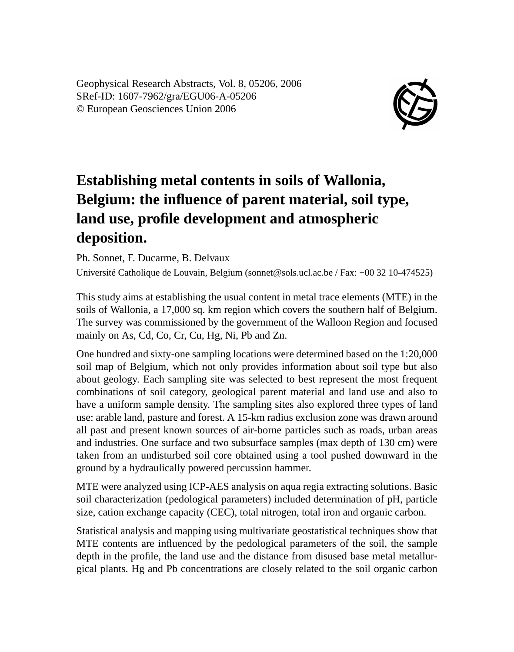Geophysical Research Abstracts, Vol. 8, 05206, 2006 SRef-ID: 1607-7962/gra/EGU06-A-05206 © European Geosciences Union 2006



## **Establishing metal contents in soils of Wallonia, Belgium: the influence of parent material, soil type, land use, profile development and atmospheric deposition.**

Ph. Sonnet, F. Ducarme, B. Delvaux

Université Catholique de Louvain, Belgium (sonnet@sols.ucl.ac.be / Fax: +00 32 10-474525)

This study aims at establishing the usual content in metal trace elements (MTE) in the soils of Wallonia, a 17,000 sq. km region which covers the southern half of Belgium. The survey was commissioned by the government of the Walloon Region and focused mainly on As, Cd, Co, Cr, Cu, Hg, Ni, Pb and Zn.

One hundred and sixty-one sampling locations were determined based on the 1:20,000 soil map of Belgium, which not only provides information about soil type but also about geology. Each sampling site was selected to best represent the most frequent combinations of soil category, geological parent material and land use and also to have a uniform sample density. The sampling sites also explored three types of land use: arable land, pasture and forest. A 15-km radius exclusion zone was drawn around all past and present known sources of air-borne particles such as roads, urban areas and industries. One surface and two subsurface samples (max depth of 130 cm) were taken from an undisturbed soil core obtained using a tool pushed downward in the ground by a hydraulically powered percussion hammer.

MTE were analyzed using ICP-AES analysis on aqua regia extracting solutions. Basic soil characterization (pedological parameters) included determination of pH, particle size, cation exchange capacity (CEC), total nitrogen, total iron and organic carbon.

Statistical analysis and mapping using multivariate geostatistical techniques show that MTE contents are influenced by the pedological parameters of the soil, the sample depth in the profile, the land use and the distance from disused base metal metallurgical plants. Hg and Pb concentrations are closely related to the soil organic carbon